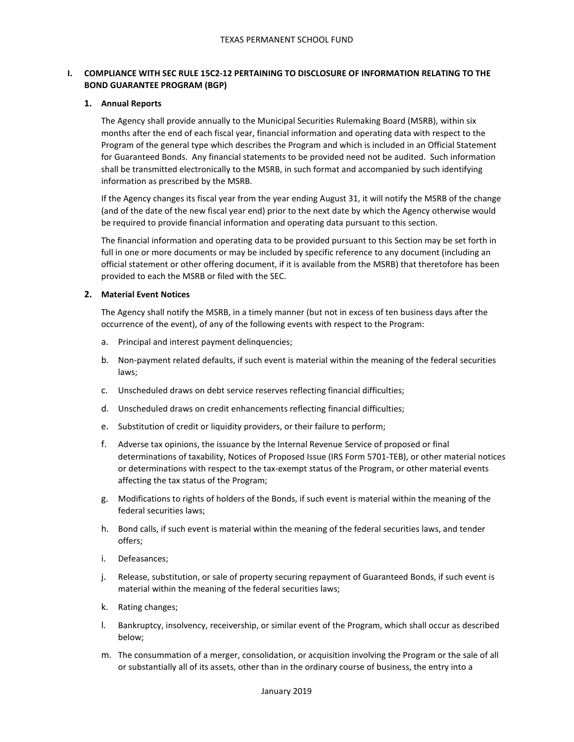# **I. COMPLIANCE WITH SEC RULE 15C2-12 PERTAINING TO DISCLOSURE OF INFORMATION RELATING TO THE BOND GUARANTEE PROGRAM (BGP)**

## **1. Annual Reports**

The Agency shall provide annually to the Municipal Securities Rulemaking Board (MSRB), within six months after the end of each fiscal year, financial information and operating data with respect to the Program of the general type which describes the Program and which is included in an Official Statement for Guaranteed Bonds. Any financial statements to be provided need not be audited. Such information shall be transmitted electronically to the MSRB, in such format and accompanied by such identifying information as prescribed by the MSRB.

If the Agency changes its fiscal year from the year ending August 31, it will notify the MSRB of the change (and of the date of the new fiscal year end) prior to the next date by which the Agency otherwise would be required to provide financial information and operating data pursuant to this section.

The financial information and operating data to be provided pursuant to this Section may be set forth in full in one or more documents or may be included by specific reference to any document (including an official statement or other offering document, if it is available from the MSRB) that theretofore has been provided to each the MSRB or filed with the SEC.

## **2. Material Event Notices**

The Agency shall notify the MSRB, in a timely manner (but not in excess of ten business days after the occurrence of the event), of any of the following events with respect to the Program:

- a. Principal and interest payment delinquencies;
- b. Non-payment related defaults, if such event is material within the meaning of the federal securities laws;
- c. Unscheduled draws on debt service reserves reflecting financial difficulties;
- d. Unscheduled draws on credit enhancements reflecting financial difficulties;
- e. Substitution of credit or liquidity providers, or their failure to perform;
- f. Adverse tax opinions, the issuance by the Internal Revenue Service of proposed or final determinations of taxability, Notices of Proposed Issue (IRS Form 5701-TEB), or other material notices or determinations with respect to the tax-exempt status of the Program, or other material events affecting the tax status of the Program;
- g. Modifications to rights of holders of the Bonds, if such event is material within the meaning of the federal securities laws;
- h. Bond calls, if such event is material within the meaning of the federal securities laws, and tender offers;
- i. Defeasances;
- j. Release, substitution, or sale of property securing repayment of Guaranteed Bonds, if such event is material within the meaning of the federal securities laws;
- k. Rating changes;
- l. Bankruptcy, insolvency, receivership, or similar event of the Program, which shall occur as described below;
- m. The consummation of a merger, consolidation, or acquisition involving the Program or the sale of all or substantially all of its assets, other than in the ordinary course of business, the entry into a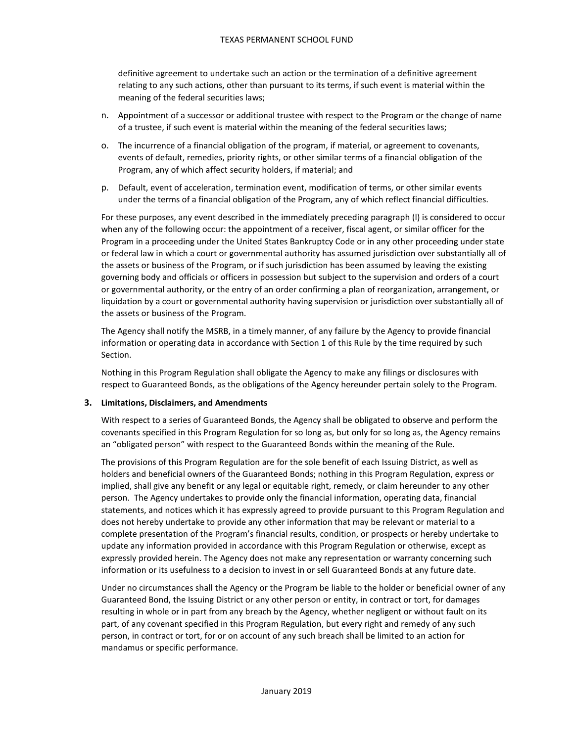definitive agreement to undertake such an action or the termination of a definitive agreement relating to any such actions, other than pursuant to its terms, if such event is material within the meaning of the federal securities laws;

- n. Appointment of a successor or additional trustee with respect to the Program or the change of name of a trustee, if such event is material within the meaning of the federal securities laws;
- o. The incurrence of a financial obligation of the program, if material, or agreement to covenants, events of default, remedies, priority rights, or other similar terms of a financial obligation of the Program, any of which affect security holders, if material; and
- p. Default, event of acceleration, termination event, modification of terms, or other similar events under the terms of a financial obligation of the Program, any of which reflect financial difficulties.

For these purposes, any event described in the immediately preceding paragraph (l) is considered to occur when any of the following occur: the appointment of a receiver, fiscal agent, or similar officer for the Program in a proceeding under the United States Bankruptcy Code or in any other proceeding under state or federal law in which a court or governmental authority has assumed jurisdiction over substantially all of the assets or business of the Program, or if such jurisdiction has been assumed by leaving the existing governing body and officials or officers in possession but subject to the supervision and orders of a court or governmental authority, or the entry of an order confirming a plan of reorganization, arrangement, or liquidation by a court or governmental authority having supervision or jurisdiction over substantially all of the assets or business of the Program.

The Agency shall notify the MSRB, in a timely manner, of any failure by the Agency to provide financial information or operating data in accordance with Section 1 of this Rule by the time required by such Section.

Nothing in this Program Regulation shall obligate the Agency to make any filings or disclosures with respect to Guaranteed Bonds, as the obligations of the Agency hereunder pertain solely to the Program.

## **3. Limitations, Disclaimers, and Amendments**

With respect to a series of Guaranteed Bonds, the Agency shall be obligated to observe and perform the covenants specified in this Program Regulation for so long as, but only for so long as, the Agency remains an "obligated person" with respect to the Guaranteed Bonds within the meaning of the Rule.

The provisions of this Program Regulation are for the sole benefit of each Issuing District, as well as holders and beneficial owners of the Guaranteed Bonds; nothing in this Program Regulation, express or implied, shall give any benefit or any legal or equitable right, remedy, or claim hereunder to any other person. The Agency undertakes to provide only the financial information, operating data, financial statements, and notices which it has expressly agreed to provide pursuant to this Program Regulation and does not hereby undertake to provide any other information that may be relevant or material to a complete presentation of the Program's financial results, condition, or prospects or hereby undertake to update any information provided in accordance with this Program Regulation or otherwise, except as expressly provided herein. The Agency does not make any representation or warranty concerning such information or its usefulness to a decision to invest in or sell Guaranteed Bonds at any future date.

Under no circumstances shall the Agency or the Program be liable to the holder or beneficial owner of any Guaranteed Bond, the Issuing District or any other person or entity, in contract or tort, for damages resulting in whole or in part from any breach by the Agency, whether negligent or without fault on its part, of any covenant specified in this Program Regulation, but every right and remedy of any such person, in contract or tort, for or on account of any such breach shall be limited to an action for mandamus or specific performance.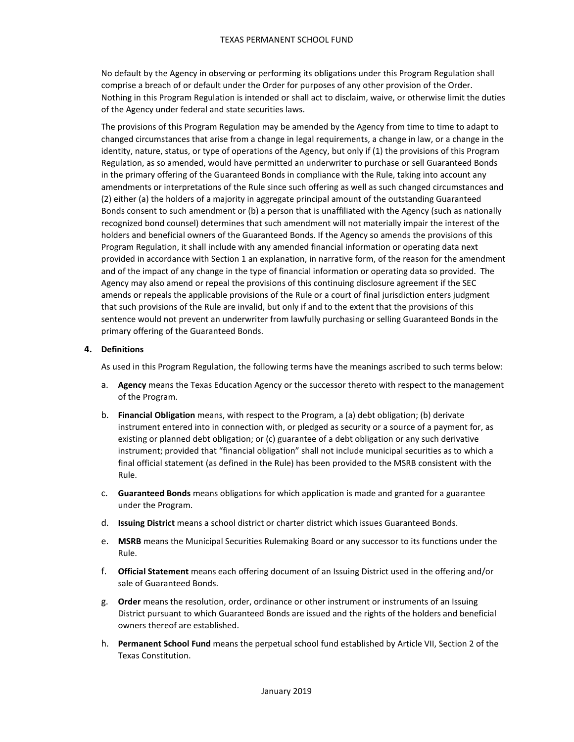No default by the Agency in observing or performing its obligations under this Program Regulation shall comprise a breach of or default under the Order for purposes of any other provision of the Order. Nothing in this Program Regulation is intended or shall act to disclaim, waive, or otherwise limit the duties of the Agency under federal and state securities laws.

The provisions of this Program Regulation may be amended by the Agency from time to time to adapt to changed circumstances that arise from a change in legal requirements, a change in law, or a change in the identity, nature, status, or type of operations of the Agency, but only if (1) the provisions of this Program Regulation, as so amended, would have permitted an underwriter to purchase or sell Guaranteed Bonds in the primary offering of the Guaranteed Bonds in compliance with the Rule, taking into account any amendments or interpretations of the Rule since such offering as well as such changed circumstances and (2) either (a) the holders of a majority in aggregate principal amount of the outstanding Guaranteed Bonds consent to such amendment or (b) a person that is unaffiliated with the Agency (such as nationally recognized bond counsel) determines that such amendment will not materially impair the interest of the holders and beneficial owners of the Guaranteed Bonds. If the Agency so amends the provisions of this Program Regulation, it shall include with any amended financial information or operating data next provided in accordance with Section 1 an explanation, in narrative form, of the reason for the amendment and of the impact of any change in the type of financial information or operating data so provided. The Agency may also amend or repeal the provisions of this continuing disclosure agreement if the SEC amends or repeals the applicable provisions of the Rule or a court of final jurisdiction enters judgment that such provisions of the Rule are invalid, but only if and to the extent that the provisions of this sentence would not prevent an underwriter from lawfully purchasing or selling Guaranteed Bonds in the primary offering of the Guaranteed Bonds.

## **4. Definitions**

As used in this Program Regulation, the following terms have the meanings ascribed to such terms below:

- a. **Agency** means the Texas Education Agency or the successor thereto with respect to the management of the Program.
- b. **Financial Obligation** means, with respect to the Program, a (a) debt obligation; (b) derivate instrument entered into in connection with, or pledged as security or a source of a payment for, as existing or planned debt obligation; or (c) guarantee of a debt obligation or any such derivative instrument; provided that "financial obligation" shall not include municipal securities as to which a final official statement (as defined in the Rule) has been provided to the MSRB consistent with the Rule.
- c. **Guaranteed Bonds** means obligations for which application is made and granted for a guarantee under the Program.
- d. **Issuing District** means a school district or charter district which issues Guaranteed Bonds.
- e. **MSRB** means the Municipal Securities Rulemaking Board or any successor to its functions under the Rule.
- f. **Official Statement** means each offering document of an Issuing District used in the offering and/or sale of Guaranteed Bonds.
- g. **Order** means the resolution, order, ordinance or other instrument or instruments of an Issuing District pursuant to which Guaranteed Bonds are issued and the rights of the holders and beneficial owners thereof are established.
- h. **Permanent School Fund** means the perpetual school fund established by Article VII, Section 2 of the Texas Constitution.